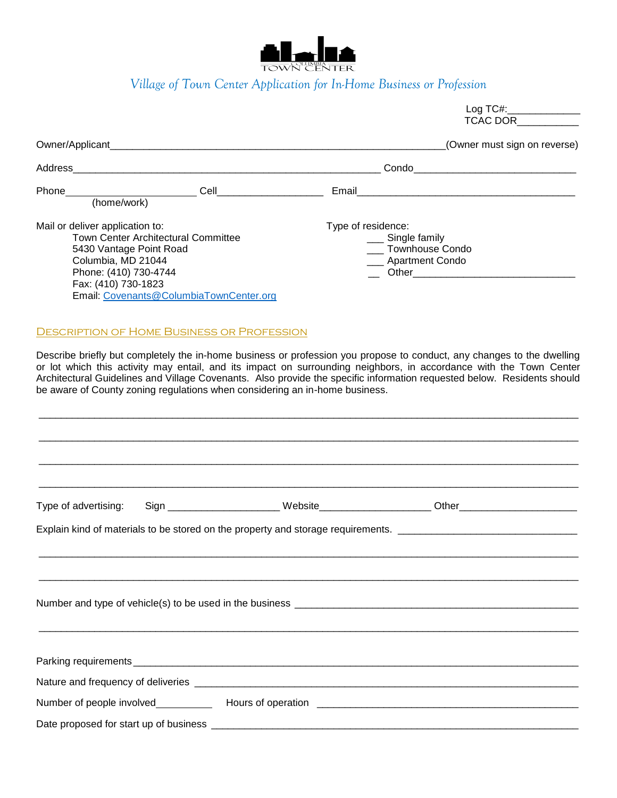

## *Village of Town Center Application for In-Home Business or Profession*

|                                                                                                                                  |                                                                                |                                                                             |                                                                                                   | Log TC#:______________<br>TCAC DOR                                                                                                                                                                                                                                                                                                                                      |  |
|----------------------------------------------------------------------------------------------------------------------------------|--------------------------------------------------------------------------------|-----------------------------------------------------------------------------|---------------------------------------------------------------------------------------------------|-------------------------------------------------------------------------------------------------------------------------------------------------------------------------------------------------------------------------------------------------------------------------------------------------------------------------------------------------------------------------|--|
|                                                                                                                                  |                                                                                |                                                                             |                                                                                                   | (Owner must sign on reverse)                                                                                                                                                                                                                                                                                                                                            |  |
|                                                                                                                                  |                                                                                |                                                                             |                                                                                                   |                                                                                                                                                                                                                                                                                                                                                                         |  |
|                                                                                                                                  |                                                                                |                                                                             |                                                                                                   |                                                                                                                                                                                                                                                                                                                                                                         |  |
| Mail or deliver application to:<br>5430 Vantage Point Road<br>Columbia, MD 21044<br>Phone: (410) 730-4744<br>Fax: (410) 730-1823 | Town Center Architectural Committee<br>Email: Covenants@ColumbiaTownCenter.org | Type of residence:                                                          | __ Single family<br>___ Townhouse Condo<br>__ Apartment Condo<br>__ Other________________________ |                                                                                                                                                                                                                                                                                                                                                                         |  |
|                                                                                                                                  | <b>DESCRIPTION OF HOME BUSINESS OR PROFESSION</b>                              | be aware of County zoning regulations when considering an in-home business. |                                                                                                   | Describe briefly but completely the in-home business or profession you propose to conduct, any changes to the dwelling<br>or lot which this activity may entail, and its impact on surrounding neighbors, in accordance with the Town Center<br>Architectural Guidelines and Village Covenants. Also provide the specific information requested below. Residents should |  |
| Type of advertising:                                                                                                             |                                                                                |                                                                             |                                                                                                   | Sign _______________________Website_______________________Other_________________<br>Explain kind of materials to be stored on the property and storage requirements.                                                                                                                                                                                                    |  |
|                                                                                                                                  |                                                                                |                                                                             |                                                                                                   |                                                                                                                                                                                                                                                                                                                                                                         |  |

 $\_$  ,  $\_$  ,  $\_$  ,  $\_$  ,  $\_$  ,  $\_$  ,  $\_$  ,  $\_$  ,  $\_$  ,  $\_$  ,  $\_$  ,  $\_$  ,  $\_$  ,  $\_$  ,  $\_$  ,  $\_$  ,  $\_$  ,  $\_$  ,  $\_$  ,  $\_$  ,  $\_$  ,  $\_$  ,  $\_$  ,  $\_$  ,  $\_$  ,  $\_$  ,  $\_$  ,  $\_$  ,  $\_$  ,  $\_$  ,  $\_$  ,  $\_$  ,  $\_$  ,  $\_$  ,  $\_$  ,  $\_$  ,  $\_$  , Parking requirements \_\_\_\_\_\_\_\_\_\_\_\_\_\_\_\_\_\_\_\_\_\_\_\_\_\_\_\_\_\_\_\_\_\_\_\_\_\_\_\_\_\_\_\_\_\_\_\_\_\_\_\_\_\_\_\_\_\_\_\_\_\_\_\_\_\_\_\_\_\_\_\_\_\_\_\_\_\_\_\_ Nature and frequency of deliveries \_\_\_\_\_\_\_\_\_\_\_\_\_\_\_\_\_\_\_\_\_\_\_\_\_\_\_\_\_\_\_\_\_\_\_\_\_\_\_\_\_\_\_\_\_\_\_\_\_\_\_\_\_\_\_\_\_\_\_\_\_\_\_\_\_\_\_\_\_ Number of people involved Hours of operation \_\_\_\_\_\_\_\_\_\_\_\_\_\_\_\_\_\_\_\_\_\_\_\_\_\_\_\_\_\_\_\_\_\_\_\_\_\_\_\_\_\_\_\_\_\_\_ Date proposed for start up of business \_\_\_\_\_\_\_\_\_\_\_\_\_\_\_\_\_\_\_\_\_\_\_\_\_\_\_\_\_\_\_\_\_\_\_\_\_\_\_\_\_\_\_\_\_\_\_\_\_\_\_\_\_\_\_\_\_\_\_\_\_\_\_\_\_\_

Number and type of vehicle(s) to be used in the business \_\_\_\_\_\_\_\_\_\_\_\_\_\_\_\_\_\_\_\_\_\_\_\_\_\_\_\_\_\_\_\_\_\_\_\_\_\_\_\_\_\_\_\_\_\_\_\_\_\_\_